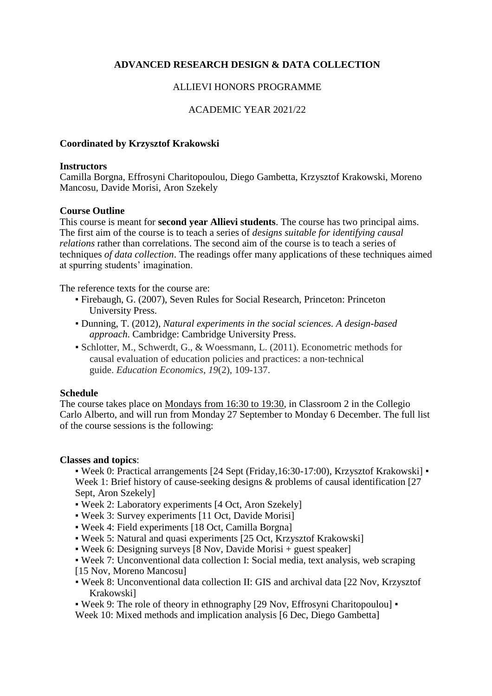# **ADVANCED RESEARCH DESIGN & DATA COLLECTION**

## ALLIEVI HONORS PROGRAMME

## ACADEMIC YEAR 2021/22

### **Coordinated by Krzysztof Krakowski**

#### **Instructors**

Camilla Borgna, Effrosyni Charitopoulou, Diego Gambetta, Krzysztof Krakowski, Moreno Mancosu, Davide Morisi, Aron Szekely

### **Course Outline**

This course is meant for **second year Allievi students**. The course has two principal aims. The first aim of the course is to teach a series of *designs suitable for identifying causal relations* rather than correlations. The second aim of the course is to teach a series of techniques *of data collection*. The readings offer many applications of these techniques aimed at spurring students' imagination.

The reference texts for the course are:

- Firebaugh, G. (2007), Seven Rules for Social Research, Princeton: Princeton University Press.
- Dunning, T. (2012), *Natural experiments in the social sciences. A design-based approach*. Cambridge: Cambridge University Press.
- Schlotter, M., Schwerdt, G., & Woessmann, L. (2011). Econometric methods for causal evaluation of education policies and practices: a non-technical guide. *Education Economics*, *19*(2), 109-137.

#### **Schedule**

The course takes place on Mondays from 16:30 to 19:30, in Classroom 2 in the Collegio Carlo Alberto, and will run from Monday 27 September to Monday 6 December. The full list of the course sessions is the following:

#### **Classes and topics**:

▪ Week 0: Practical arrangements [24 Sept (Friday,16:30-17:00), Krzysztof Krakowski] ▪ Week 1: Brief history of cause-seeking designs & problems of causal identification [27] Sept, Aron Szekely]

- Week 2: Laboratory experiments [4 Oct, Aron Szekely]
- Week 3: Survey experiments [11 Oct, Davide Morisi]
- Week 4: Field experiments [18 Oct, Camilla Borgna]
- Week 5: Natural and quasi experiments [25 Oct, Krzysztof Krakowski]
- Week 6: Designing surveys [8 Nov, Davide Morisi + guest speaker]
- Week 7: Unconventional data collection I: Social media, text analysis, web scraping [15 Nov, Moreno Mancosu]
- Week 8: Unconventional data collection II: GIS and archival data [22 Nov, Krzysztof Krakowski]
- Week 9: The role of theory in ethnography [29 Nov, Effrosyni Charitopoulou] ▪

Week 10: Mixed methods and implication analysis [6 Dec, Diego Gambetta]